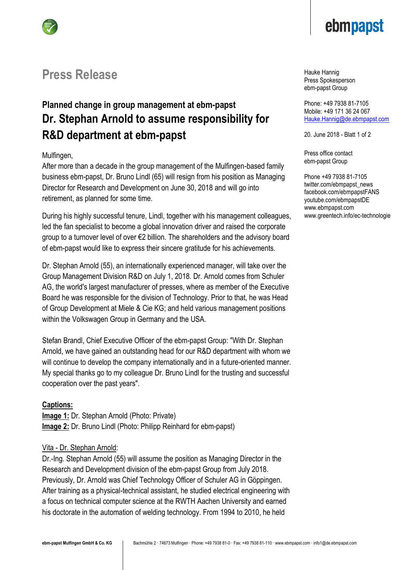

# **Press Release**

## **Planned change in group management at ebm-papst Dr. Stephan Arnold to assume responsibility for R&D department at ebm-papst**

### Mulfingen,

After more than a decade in the group management of the Mulfingen-based family business ebm-papst, Dr. Bruno Lindl (65) will resign from his position as Managing Director for Research and Development on June 30, 2018 and will go into retirement, as planned for some time.

During his highly successful tenure, Lindl, together with his management colleagues, led the fan specialist to become a global innovation driver and raised the corporate group to a turnover level of over €2 billion. The shareholders and the advisory board of ebm-papst would like to express their sincere gratitude for his achievements.

Dr. Stephan Arnold (55), an internationally experienced manager, will take over the Group Management Division R&D on July 1, 2018. Dr. Arnold comes from Schuler AG, the world's largest manufacturer of presses, where as member of the Executive Board he was responsible for the division of Technology. Prior to that, he was Head of Group Development at Miele & Cie KG; and held various management positions within the Volkswagen Group in Germany and the USA.

Stefan Brandl, Chief Executive Officer of the ebm-papst Group: "With Dr. Stephan Arnold, we have gained an outstanding head for our R&D department with whom we will continue to develop the company internationally and in a future-oriented manner. My special thanks go to my colleague Dr. Bruno Lindl for the trusting and successful cooperation over the past years".

#### **Captions:**

**Image 1:** Dr. Stephan Arnold (Photo: Private) **Image 2:** Dr. Bruno Lindl (Photo: Philipp Reinhard for ebm-papst)

#### Vita - Dr. Stephan Arnold:

Dr.-Ing. Stephan Arnold (55) will assume the position as Managing Director in the Research and Development division of the ebm-papst Group from July 2018. Previously, Dr. Arnold was Chief Technology Officer of Schuler AG in Göppingen. After training as a physical-technical assistant, he studied electrical engineering with a focus on technical computer science at the RWTH Aachen University and earned his doctorate in the automation of welding technology. From 1994 to 2010, he held

Hauke Hannig Press Spokesperson ebm-papst Group

Phone: +49 7938 81-7105 Mobile: +49 171 36 24 067 [Hauke.Hannig@de.ebmpapst.com](mailto:Hauke.Hannig@de.ebmpapst.com)

20. June 2018 - Blatt 1 of 2

Press office contact ebm-papst Group

Phone +49 7938 81-7105 twitter.com/ebmpapst\_news facebook.com/ebmpapstFANS youtube.com/ebmpapstDE www.ebmpapst.com www.greentech.info/ec-technologie